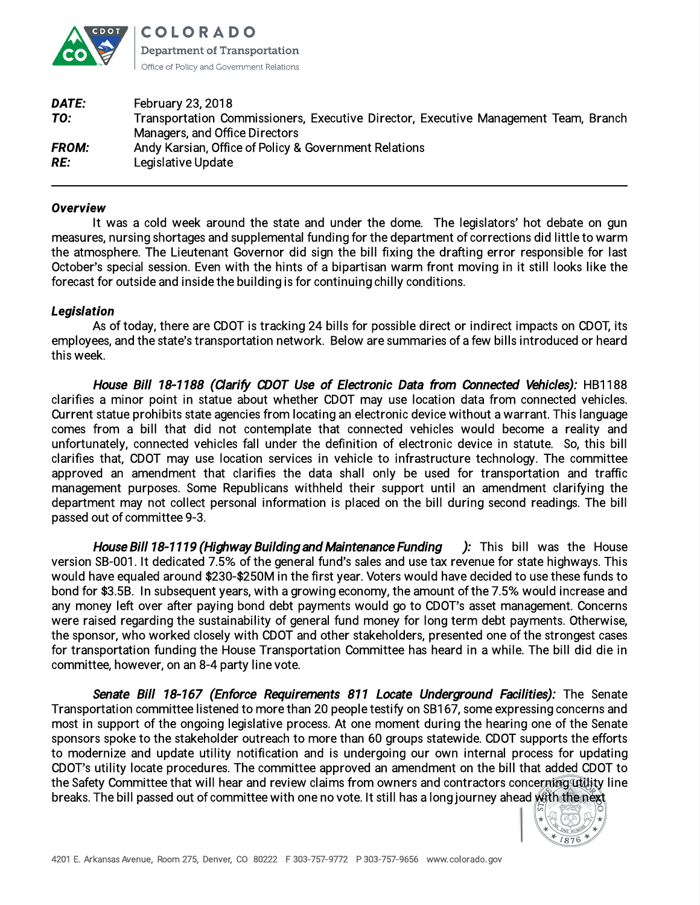

**COLORADO Department of Transportation** Office of Policy and Government Relations

| <b>February 23, 2018</b>                                                            |
|-------------------------------------------------------------------------------------|
| Transportation Commissioners, Executive Director, Executive Management Team, Branch |
| Managers, and Office Directors                                                      |
| Andy Karsian, Office of Policy & Government Relations                               |
| Legislative Update                                                                  |
|                                                                                     |

## *Overview*

It was a cold week around the state and under the dome. The legislators' hot debate on gun measures, nursing shortages and supplemental funding for the department of corrections did little to warm the atmosphere. The Lieutenant Governor did sign the bill fixing the drafting error responsible for last October's special session. Even with the hints of a bipartisan warm front moving in it still looks like the forecast for outside and inside the building is for continuing chilly conditions.

## *Legislation*

As of today, there are CDOT is tracking 24 bills for possible direct or indirect impacts on CDOT, its employees, and the state's transportation network. Below are summaries of a few bills introduced or heard this week.

Hous<sup>e</sup> Bill 18-1188 (Clarify CDOT Us<sup>e</sup> of Electroni<sup>c</sup> Data from Connected Vehicles): HB1188 clarifies a minor point in statue about whether CDOT may use location data from connected vehicles. Current statue prohibits state agencies from locating an electronic device without a warrant. This language comes from a bill that did not contemplate that connected vehicles would become a reality and unfortunately, connected vehicles fall under the definition of electronic device in statute. So, this bill clarifies that, CDOT may use location services in vehicle to infrastructure technology. The committee approved an amendment that clarifies the data shall only be used for transportation and traffic management purposes. Some Republicans withheld their support until an amendment clarifying the department may not collect personal information is placed on the bill during second readings. The bill passed out of committee 9-3.

Hous<sup>e</sup> Bill 18-1119 (Highway Building and Maintenanc<sup>e</sup> Funding )*:* This bill was the House version SB-001. It dedicated 7.5% of the general fund's sales and use tax revenue for state highways. This would have equaled around \$230-\$250M in the first year. Voters would have decided to use these funds to bond for \$3.5B. In subsequent years, with a growing economy, the amount of the 7.5% would increase and any money left over after paying bond debt payments would go to CDOT's asset management. Concerns were raised regarding the sustainability of general fund money for long term debt payments. Otherwise, the sponsor, who worked closely with CDOT and other stakeholders, presented one of the strongest cases for transportation funding the House Transportation Committee has heard in a while. The bill did die in committee, however, on an 8-4 party line vote.

Senate Bill 18-167 (Enforce Requirements 811 Locate Underground Facilities): The Senate Transportation committee listened to more than 20 people testify on SB167, some expressing concerns and most in support of the ongoing legislative process. At one moment during the hearing one of the Senate sponsors spoke to the stakeholder outreach to more than 60 groups statewide. CDOT supports the efforts to modernize and update utility notification and is undergoing our own internal process for updating CDOT's utility locate procedures. The committee approved an amendment on the bill that added CDOT to the Safety Committee that will hear and review claims from owners and contractors concerning utility line breaks. The bill passed out of committee with one no vote. It still has a long journey ahead with the next